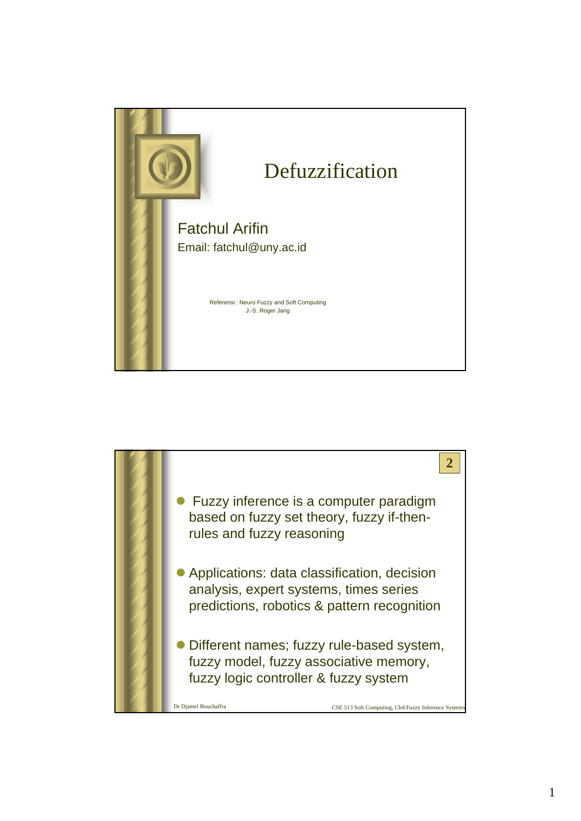

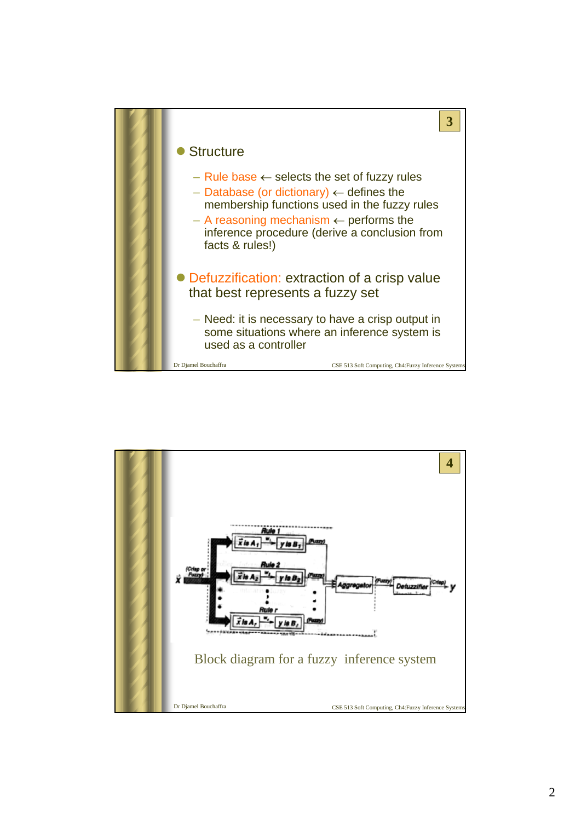

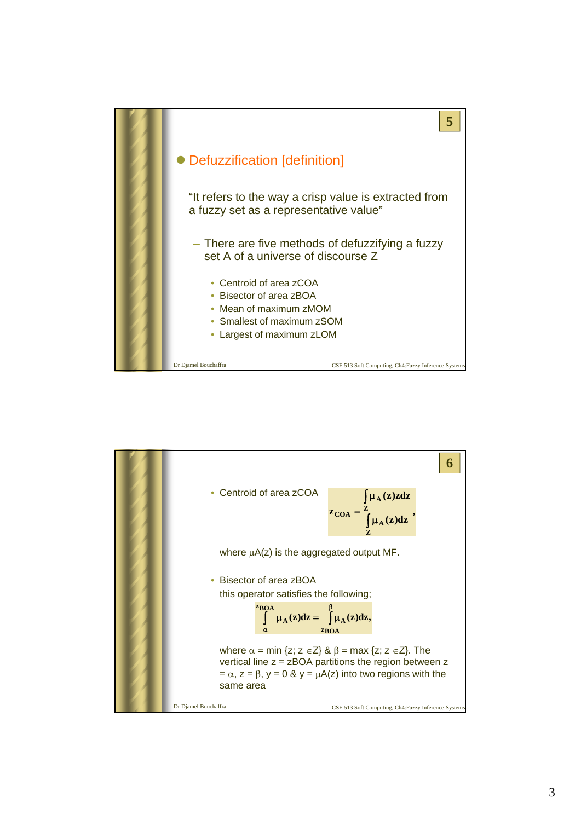

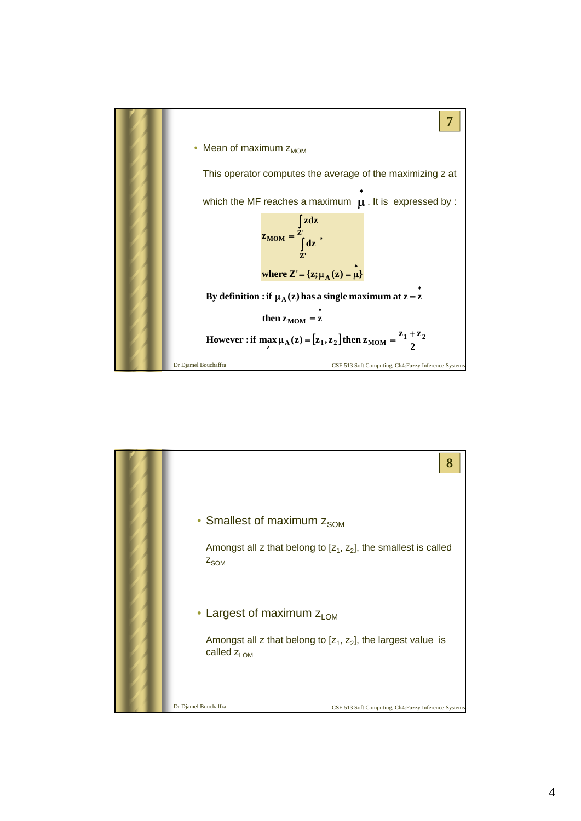